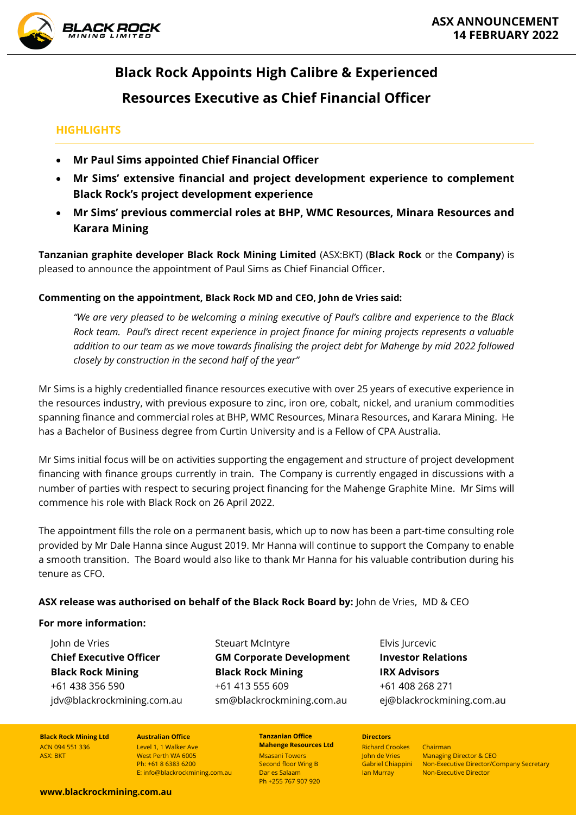

# **Black Rock Appoints High Calibre & Experienced Resources Executive as Chief Financial Officer**

## **HIGHLIGHTS**

- **Mr Paul Sims appointed Chief Financial Officer**
- **Mr Sims' extensive financial and project development experience to complement Black Rock's project development experience**
- **Mr Sims' previous commercial roles at BHP, WMC Resources, Minara Resources and Karara Mining**

**Tanzanian graphite developer Black Rock Mining Limited** (ASX:BKT) (**Black Rock** or the **Company**) is pleased to announce the appointment of Paul Sims as Chief Financial Officer.

### **Commenting on the appointment, Black Rock MD and CEO, John de Vries said:**

*"We are very pleased to be welcoming a mining executive of Paul's calibre and experience to the Black Rock team. Paul's direct recent experience in project finance for mining projects represents a valuable addition to our team as we move towards finalising the project debt for Mahenge by mid 2022 followed closely by construction in the second half of the year"*

Mr Sims is a highly credentialled finance resources executive with over 25 years of executive experience in the resources industry, with previous exposure to zinc, iron ore, cobalt, nickel, and uranium commodities spanning finance and commercial roles at BHP, WMC Resources, Minara Resources, and Karara Mining. He has a Bachelor of Business degree from Curtin University and is a Fellow of CPA Australia.

Mr Sims initial focus will be on activities supporting the engagement and structure of project development financing with finance groups currently in train. The Company is currently engaged in discussions with a number of parties with respect to securing project financing for the Mahenge Graphite Mine. Mr Sims will commence his role with Black Rock on 26 April 2022.

The appointment fills the role on a permanent basis, which up to now has been a part-time consulting role provided by Mr Dale Hanna since August 2019. Mr Hanna will continue to support the Company to enable a smooth transition. The Board would also like to thank Mr Hanna for his valuable contribution during his tenure as CFO.

## **ASX release was authorised on behalf of the Black Rock Board by:** John de Vries, MD & CEO

#### **For more information:**

John de Vries **Chief Executive Officer Black Rock Mining** +61 438 356 590 jdv@blackrockmining.com.au Steuart McIntyre **GM Corporate Development Black Rock Mining**  +61 413 555 609 sm@blackrockmining.com.au

Elvis Jurcevic **Investor Relations IRX Advisors**  +61 408 268 271 ej@blackrockmining.com.au

**Black Rock Mining Ltd** ACN 094 551 336 ASX: BKT

**Australian Office** Level 1, 1 Walker Ave West Perth WA 6005 Ph: +61 8 6383 6200 E: info@blackrockmining.com.au

#### **Tanzanian Office Mahenge Resources Ltd** Msasani Towers

Second floor Wing B Dar es Salaam Ph +255 767 907 920 Richard Crookes Chairman

**Directors**

John de Vries Managing Director & CEO<br>Gabriel Chiappini Non-Executive Director/C Non-Executive Director/Company Secretary **Ian Murray Non-Executive Director** 

**www.blackrockmining.com.au**